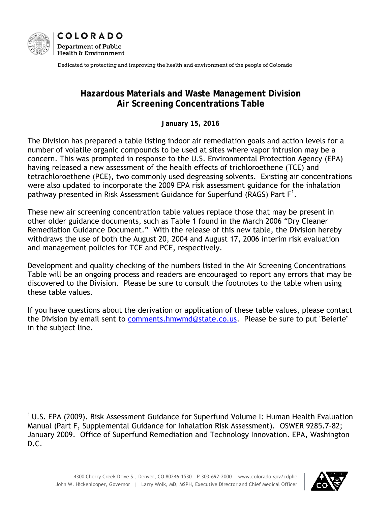



Dedicated to protecting and improving the health and environment of the people of Colorado

#### **Hazardous Materials and Waste Management Division Air Screening Concentrations Table**

**January 15, 2016** 

The Division has prepared a table listing indoor air remediation goals and action levels for a number of volatile organic compounds to be used at sites where vapor intrusion may be a concern. This was prompted in response to the U.S. Environmental Protection Agency (EPA) having released a new assessment of the health effects of trichloroethene (TCE) and tetrachloroethene (PCE), two commonly used degreasing solvents. Existing air concentrations were also updated to incorporate the 2009 EPA risk assessment guidance for the inhalation pathway presented in Risk Assessment Guidance for Superfund (RAGS) Part F<sup>1</sup>.

These new air screening concentration table values replace those that may be present in other older guidance documents, such as Table 1 found in the March 2006 "Dry Cleaner Remediation Guidance Document." With the release of this new table, the Division hereby withdraws the use of both the August 20, 2004 and August 17, 2006 interim risk evaluation and management policies for TCE and PCE, respectively.

Development and quality checking of the numbers listed in the Air Screening Concentrations Table will be an ongoing process and readers are encouraged to report any errors that may be discovered to the Division. Please be sure to consult the footnotes to the table when using these table values.

If you have questions about the derivation or application of these table values, please contact the Division by email sent to comments.hmwmd@state.co.us. Please be sure to put "Beierle" in the subject line.

<sup>1</sup> U.S. EPA (2009). Risk Assessment Guidance for Superfund Volume I: Human Health Evaluation Manual (Part F, Supplemental Guidance for Inhalation Risk Assessment). OSWER 9285.7-82; January 2009. Office of Superfund Remediation and Technology Innovation. EPA, Washington D.C.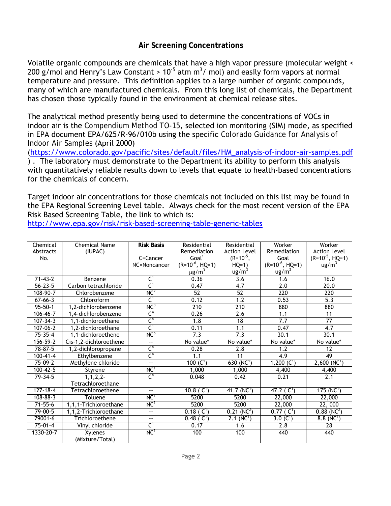#### **Air Screening Concentrations**

Volatile organic compounds are chemicals that have a high vapor pressure (molecular weight < 200 g/mol and Henry's Law Constant >  $10^{-5}$  atm m<sup>3</sup>/ mol) and easily form vapors at normal temperature and pressure. This definition applies to a large number of organic compounds, many of which are manufactured chemicals. From this long list of chemicals, the Department has chosen those typically found in the environment at chemical release sites.

The analytical method presently being used to determine the concentrations of VOCs in indoor air is the *Compendium Method TO-15*, selected ion monitoring (SIM) mode, as specified in EPA document EPA/625/R-96/010b using the specific *Colorado Guidance for Analysis of Indoor Air Samples* (April 2000)

(https://www.colorado.gov/pacific/sites/default/files/HM\_analysis-of-indoor-air-samples.pdf ) . The laboratory must demonstrate to the Department its ability to perform this analysis with quantitatively reliable results down to levels that equate to health-based concentrations for the chemicals of concern.

Target indoor air concentrations for those chemicals not included on this list may be found in the EPA Regional Screening Level table. Always check for the most recent version of the EPA Risk Based Screening Table, the link to which is:

http://www.epa.gov/risk/risk-based-screening-table-generic-tables

| Chemical       | <b>Chemical Name</b>   | <b>Risk Basis</b>        | Residential              | Residential               | Worker              | Worker                     |
|----------------|------------------------|--------------------------|--------------------------|---------------------------|---------------------|----------------------------|
| Abstracts      | (IUPAC)                |                          | Remediation              | <b>Action Level</b>       | Remediation         | <b>Action Level</b>        |
| No.            |                        | C=Cancer                 | Goal <sup>1</sup>        | $(R=10^{-5},$             | Goal                | $(R=10^{-5}, HQ=1)$        |
|                |                        | NC=Noncancer             | $(R=10^{-6}, HQ=1)$      | $HQ=1)$                   | $(R=10^{-6}, HQ=1)$ | $\text{ug/m}^3$            |
|                |                        |                          | $\mu$ g/m <sup>3</sup>   | ug/m <sup>3</sup>         | ug/m <sup>3</sup>   |                            |
| $71 - 43 - 2$  | Benzene                | $C^1$                    | 0.36                     | $\overline{3.6}$          | 1.6                 | 16.0                       |
| $56 - 23 - 5$  | Carbon tetrachloride   | $\mathsf{C}^1$           | 0.47                     | $\overline{4.7}$          | 2.0                 | 20.0                       |
| 108-90-7       | Chlorobenzene          | NC <sup>2</sup>          | 52                       | 52                        | 220                 | 220                        |
| $67 - 66 - 3$  | Chloroform             | $C^1$                    | 0.12                     | 1.2                       | 0.53                | $\overline{5.3}$           |
| $95 - 50 - 1$  | 1.2-dichlorobenzene    | NC <sup>3</sup>          | $\overline{210}$         | 210                       | 880                 | 880                        |
| $106 - 46 - 7$ | 1,4-dichlorobenzene    | $\mathsf{C}^4$           | 0.26                     | 2.6                       | 1.1                 | 11                         |
| $107 - 34 - 3$ | 1.1-dichloroethane     | $\mathsf{C}^4$           | $\overline{1.8}$         | 18                        | 7.7                 | $\overline{77}$            |
| $107 - 06 - 2$ | 1,2-dichloroethane     | C <sup>1</sup>           | 0.11                     | 1.1                       | 0.47                | 4.7                        |
| $75 - 35 - 4$  | 1.1-dichloroethene     | NC <sub>2</sub>          | 7.3                      | $\overline{7.3}$          | 30.1                | 30.1                       |
| 156-59-2       | Cis-1,2-dichloroethene | $\overline{\phantom{a}}$ | No value*                | No value*                 | No value*           | No value*                  |
| $78 - 87 - 5$  | 1,2-dichloropropane    | $\mathsf{C}^4$           | 0.28                     | 2.8                       | 1.2                 | 12                         |
| $100 - 41 - 4$ | Ethylbenzene           | $\mathsf{C}^4$           | 1.1                      | 11                        | 4.9                 | 49                         |
| 75-09-2        | Methylene chloride     | $\bar{\omega}$ .         | 100 $(C1)$               | 630 $(NC1)$               | 1,200 $(C1)$        | $2,600$ (NC <sup>1</sup> ) |
| $100 - 42 - 5$ | Styrene                | NC <sup>1</sup>          | 1,000                    | 1,000                     | 4,400               | 4,400                      |
| $79 - 34 - 5$  | $1.1.2.2 -$            | C <sup>4</sup>           | 0.048                    | 0.42                      | 0.21                | 2.1                        |
|                | Tetrachloroethane      |                          |                          |                           |                     |                            |
| $127 - 18 - 4$ | Tetrachloroethene      | $\overline{\phantom{a}}$ | 10.8 ( $C^1$ )           | 41.7 $(NC^1)$             | 47.2 ( $C^1$ )      | 175 (NC <sup>1</sup> )     |
| $108 - 88 - 3$ | Toluene                | NC <sup>1</sup>          | 5200                     | 5200                      | 22,000              | 22,000                     |
| $71 - 55 - 6$  | 1,1,1-Trichloroethane  | NC <sup>1</sup>          | 5200                     | 5200                      | 22,000              | 22,000                     |
| $79 - 00 - 5$  | 1,1,2-Trichloroethane  | ц.                       | $0.18$ (C <sup>1</sup> ) | $0.21$ (NC <sup>2</sup> ) | $0.77$ ( $C^1$ )    | $0.88$ (NC <sup>2</sup> )  |
| 79001-6        | Trichloroethene        | $-1$                     | $0.48$ ( $C^1$ )         | 2.1(NC <sup>1</sup> )     | $3.0 (C^1)$         | $8.8(NC^{1})$              |
| $75 - 01 - 4$  | Vinyl chloride         | $\mathsf{C}^1$           | 0.17                     | 1.6                       | 2.8                 | 28                         |
| 1330-20-7      | Xylenes                | NC <sup>1</sup>          | 100                      | 100                       | 440                 | 440                        |
|                | (Mixture/Total)        |                          |                          |                           |                     |                            |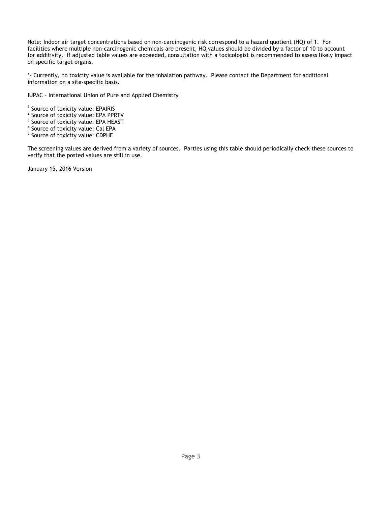Note: Indoor air target concentrations based on non-carcinogenic risk correspond to a hazard quotient (HQ) of 1. For facilities where multiple non-carcinogenic chemicals are present, HQ values should be divided by a factor of 10 to account for additivity. If adjusted table values are exceeded, consultation with a toxicologist is recommended to assess likely impact on specific target organs.

\*- Currently, no toxicity value is available for the inhalation pathway. Please contact the Department for additional information on a site-specific basis.

IUPAC – International Union of Pure and Applied Chemistry

- <sup>1</sup> Source of toxicity value: EPAIRIS
- <sup>2</sup> Source of toxicity value: EPA PPRTV
- <sup>3</sup> Source of toxicity value: EPA HEAST
- <sup>4</sup> Source of toxicity value: Cal EPA
- <sup>5</sup> Source of toxicity value: CDPHE

The screening values are derived from a variety of sources. Parties using this table should periodically check these sources to verify that the posted values are still in use.

January 15, 2016 Version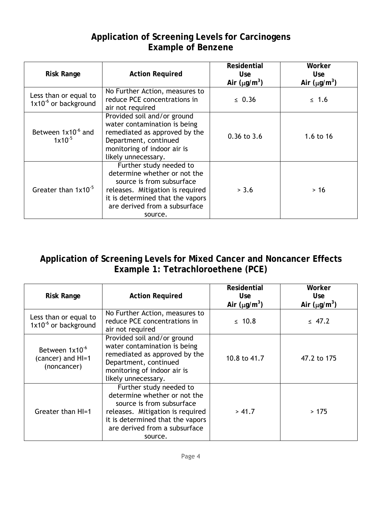#### **Application of Screening Levels for Carcinogens Example of Benzene**

| <b>Risk Range</b>                                         | <b>Action Required</b>                                                                                                                                                                                   | <b>Residential</b><br><b>Use</b><br>Air $(\mu g/m^3)$ | Worker<br><b>Use</b><br>Air $(\mu g/m^3)$ |
|-----------------------------------------------------------|----------------------------------------------------------------------------------------------------------------------------------------------------------------------------------------------------------|-------------------------------------------------------|-------------------------------------------|
| Less than or equal to<br>1x10 <sup>-6</sup> or background | No Further Action, measures to<br>reduce PCE concentrations in<br>air not required                                                                                                                       | $\leq 0.36$                                           | $\leq 1.6$                                |
| Between 1x10 <sup>-6</sup> and<br>$1x10^{-5}$             | Provided soil and/or ground<br>water contamination is being<br>remediated as approved by the<br>Department, continued<br>monitoring of indoor air is<br>likely unnecessary.                              | $0.36$ to $3.6$                                       | 1.6 to $16$                               |
| Greater than 1x10 <sup>-5</sup>                           | Further study needed to<br>determine whether or not the<br>source is from subsurface<br>releases. Mitigation is required<br>it is determined that the vapors<br>are derived from a subsurface<br>source. | > 3.6                                                 | $>16$                                     |

## **Application of Screening Levels for Mixed Cancer and Noncancer Effects Example 1: Tetrachloroethene (PCE)**

| <b>Risk Range</b>                                              | <b>Action Required</b>                                                                                                                                                                                   | Residential<br>Use.<br>Air $(\mu g/m^3)$ | Worker<br><b>Use</b><br>Air $(\mu g/m^3)$ |
|----------------------------------------------------------------|----------------------------------------------------------------------------------------------------------------------------------------------------------------------------------------------------------|------------------------------------------|-------------------------------------------|
| Less than or equal to<br>$1x10^{-6}$ or background             | No Further Action, measures to<br>reduce PCE concentrations in<br>air not required                                                                                                                       | $\leq 10.8$                              | $\leq 47.2$                               |
| Between 1x10 <sup>-6</sup><br>(cancer) and HI=1<br>(noncancer) | Provided soil and/or ground<br>water contamination is being<br>remediated as approved by the<br>Department, continued<br>monitoring of indoor air is<br>likely unnecessary.                              | 10.8 to 41.7                             | 47.2 to 175                               |
| Greater than HI=1                                              | Further study needed to<br>determine whether or not the<br>source is from subsurface<br>releases. Mitigation is required<br>it is determined that the vapors<br>are derived from a subsurface<br>source. | > 41.7                                   | >175                                      |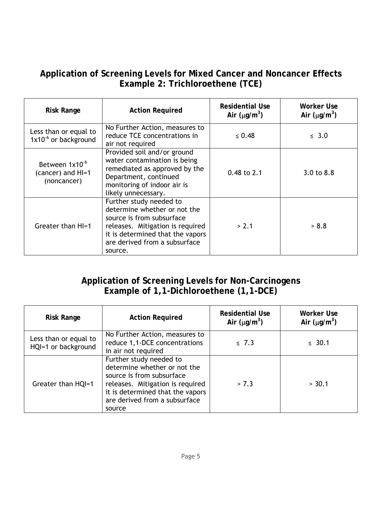## **Application of Screening Levels for Mixed Cancer and Noncancer Effects Example 2: Trichloroethene (TCE)**

| <b>Risk Range</b>                                              | <b>Action Required</b>                                                                                                                                                                                   | Residential Use<br>Air $(\mu g/m^3)$ | Worker Use<br>Air $(\mu g/m^3)$ |
|----------------------------------------------------------------|----------------------------------------------------------------------------------------------------------------------------------------------------------------------------------------------------------|--------------------------------------|---------------------------------|
| Less than or equal to<br>$1x10^{-6}$ or background             | No Further Action, measures to<br>reduce TCE concentrations in<br>air not required                                                                                                                       | $\leq 0.48$                          | $\leq$ 3.0                      |
| Between 1x10 <sup>-6</sup><br>(cancer) and HI=1<br>(noncancer) | Provided soil and/or ground<br>water contamination is being<br>remediated as approved by the<br>Department, continued<br>monitoring of indoor air is<br>likely unnecessary.                              | $0.48$ to 2.1                        | 3.0 to 8.8                      |
| Greater than HI=1                                              | Further study needed to<br>determine whether or not the<br>source is from subsurface<br>releases. Mitigation is required<br>it is determined that the vapors<br>are derived from a subsurface<br>source. | > 2.1                                | > 8.8                           |

# **Application of Screening Levels for Non-Carcinogens Example of 1,1-Dichloroethene (1,1-DCE)**

| <b>Risk Range</b>                            | <b>Action Required</b>                                                                                                                                                                                  | <b>Residential Use</b><br>Air $(\mu g/m^3)$ | Worker Use<br>Air $(\mu g/m^3)$ |
|----------------------------------------------|---------------------------------------------------------------------------------------------------------------------------------------------------------------------------------------------------------|---------------------------------------------|---------------------------------|
| Less than or equal to<br>HQI=1 or background | No Further Action, measures to<br>reduce 1,1-DCE concentrations<br>in air not required                                                                                                                  | $\leq 7.3$                                  | $\leq 30.1$                     |
| Greater than HQI=1                           | Further study needed to<br>determine whether or not the<br>source is from subsurface<br>releases. Mitigation is required<br>it is determined that the vapors<br>are derived from a subsurface<br>source | > 7.3                                       | > 30.1                          |